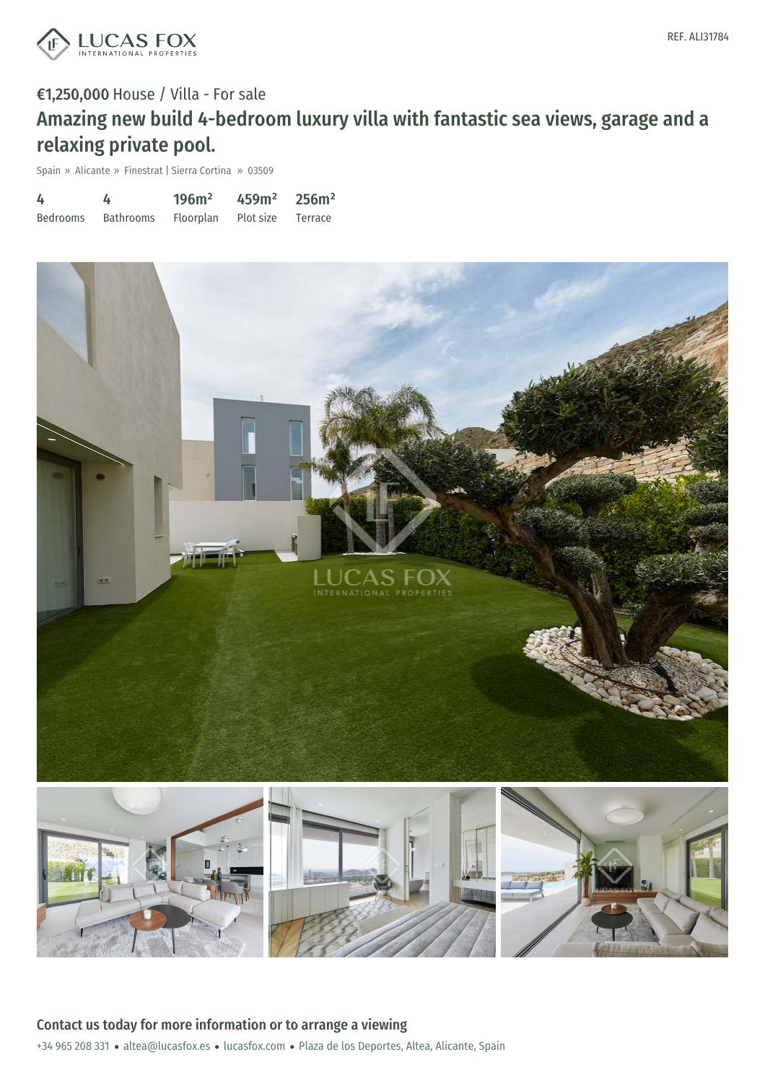

# €1,250,000 House / Villa - For sale Amazing new build 4-bedroom luxury villa with fantastic sea views, garage and a relaxing private pool.

Spain » Alicante » Finestrat | Sierra Cortina » 03509

| 4               | 4         | 196m <sup>2</sup> | 459m <sup>2</sup> | 256m <sup>2</sup> |
|-----------------|-----------|-------------------|-------------------|-------------------|
| <b>Bedrooms</b> | Bathrooms | Floorplan         | Plot size Terrace |                   |



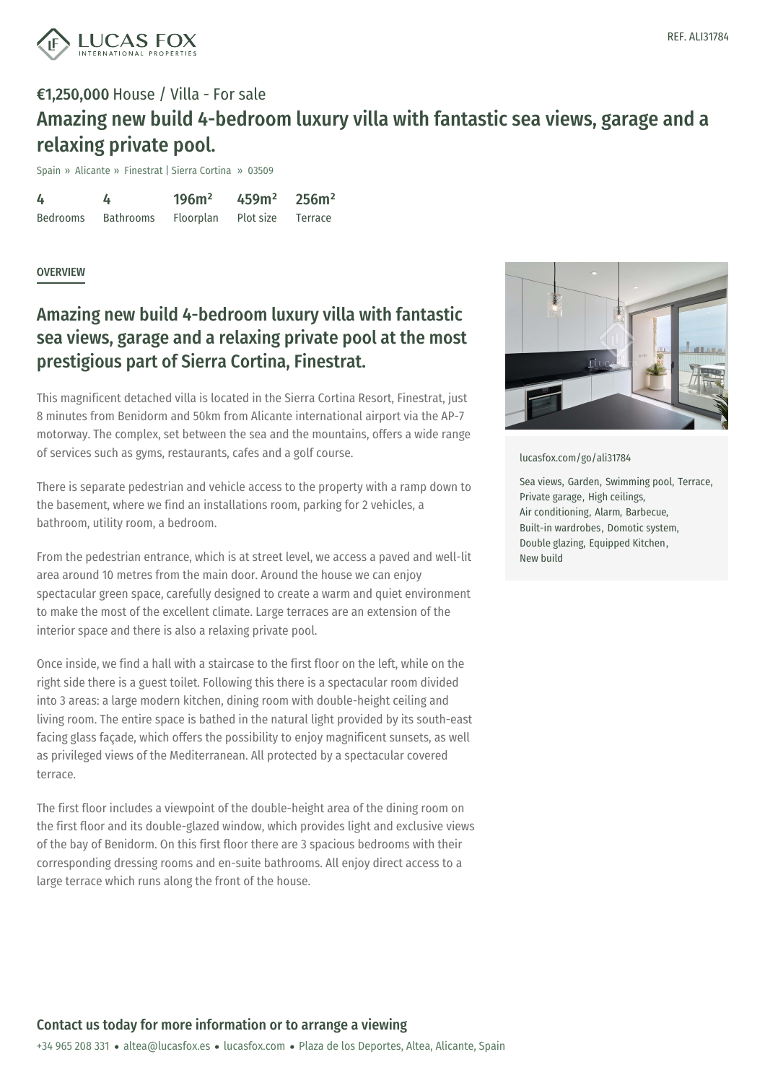

### €1,250,000 House / Villa - For sale Amazing new build 4-bedroom luxury villa with fantastic sea views, garage and a relaxing private pool.

Spain » Alicante » Finestrat | Sierra Cortina » 03509

4 Bedrooms 4 Bathrooms 196m² Floorplan 459m² Plot size 256m² Terrace

#### **OVERVIEW**

### Amazing new build 4-bedroom luxury villa with fantastic sea views, garage and a relaxing private pool at the most prestigious part of Sierra Cortina, Finestrat.

This magnificent detached villa is located in the Sierra Cortina Resort, Finestrat, just 8 minutes from Benidorm and 50km from Alicante international airport via the AP-7 motorway. The complex, set between the sea and the mountains, offers a wide range of services such as gyms, restaurants, cafes and a golf course.

There is separate pedestrian and vehicle access to the property with a ramp down to the basement, where we find an installations room, parking for 2 vehicles, a bathroom, utility room, a bedroom.

From the pedestrian entrance, which is at street level, we access a paved and well-lit area around 10 metres from the main door. Around the house we can enjoy spectacular green space, carefully designed to create a warm and quiet environment to make the most of the excellent climate. Large terraces are an extension of the interior space and there is also a relaxing private pool.

Once inside, we find a hall with a staircase to the first floor on the left, while on the right side there is a guest toilet. Following this there is a spectacular room divided into 3 areas: a large modern kitchen, dining room with double-height ceiling and living room. The entire space is bathed in the natural light provided by its south-east facing glass façade, which offers the possibility to enjoy magnificent sunsets, as well as privileged views of the Mediterranean. All protected by a spectacular covered terrace.

The first floor includes a viewpoint of the double-height area of the dining room on the first floor and its double-glazed window, which provides light and exclusive views of the bay of Benidorm. On this first floor there are 3 spacious bedrooms with their corresponding dressing rooms and en-suite bathrooms. All enjoy direct access to a large terrace which runs along the front of the house.



[lucasfox.com/go/ali31784](https://www.lucasfox.com/go/ali31784)

Sea views, Garden, Swimming pool, Terrace, Private garage, High ceilings, Air conditioning, Alarm, Barbecue, Built-in wardrobes, Domotic system, Double glazing, Equipped Kitchen, New build